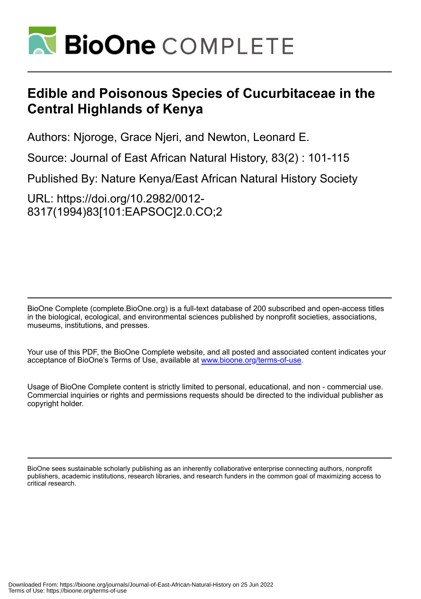

# **Edible and Poisonous Species of Cucurbitaceae in the Central Highlands of Kenya**

Authors: Njoroge, Grace Njeri, and Newton, Leonard E.

Source: Journal of East African Natural History, 83(2) : 101-115

Published By: Nature Kenya/East African Natural History Society

URL: https://doi.org/10.2982/0012- 8317(1994)83[101:EAPSOC]2.0.CO;2

BioOne Complete (complete.BioOne.org) is a full-text database of 200 subscribed and open-access titles in the biological, ecological, and environmental sciences published by nonprofit societies, associations, museums, institutions, and presses.

Your use of this PDF, the BioOne Complete website, and all posted and associated content indicates your acceptance of BioOne's Terms of Use, available at www.bioone.org/terms-of-use.

Usage of BioOne Complete content is strictly limited to personal, educational, and non - commercial use. Commercial inquiries or rights and permissions requests should be directed to the individual publisher as copyright holder.

BioOne sees sustainable scholarly publishing as an inherently collaborative enterprise connecting authors, nonprofit publishers, academic institutions, research libraries, and research funders in the common goal of maximizing access to critical research.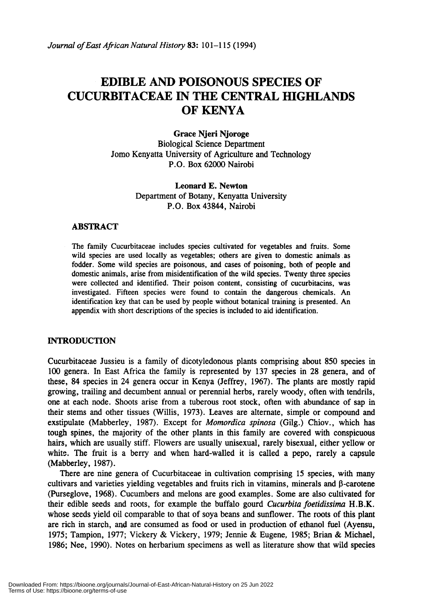## **EDIBLE AND POISONOUS SPECIES OF CUCURBITACEAE IN THE CENTRAL mGHLANDS** OF KENYA

Grace Njeri Njoroge Biological Science Department Jomo Kenyatta University of Agriculture and Technology P.O. Box 62000 Nairobi

> Leonard E. Newton Department of Botany, Kenyatta University P.O. Box 43844, Nairobi

## ABSTRACT

The family Cucurbitaceae includes species cultivated for vegetables and fruits. Some wild species are used locally as vegetables; others are given to domestic animals .as fodder. Some wild species are poisonous, and cases of poisoning, both of people and domestic animals, arise from misidentification of the wild species. Twenty three species were collected and identified. Their poison content, consisting of cucurbitacins, was investigated. Fifteen species were found to contain the dangerous chemicals. An identification key that can be used by people without botanical training is presented. An appendix with short descriptions of the species is included to aid identification.

#### INTRODUCTION

Cucurbitaceae Jussieu is a family of dicotyledonous plants comprising about 850 species in 100 genera. In East Africa the family is represented by 137 species in 28 genera, and of these, 84 species in 24 genera occur in Kenya (Jeffrey, 1967). The plants are mostly rapid growing, trailing and decumbent annual or perennial herbs, rarely woody, often with tendrils, one at each node. Shoots arise from a tuberous root stock, often with abundance of sap in their stems and other tissues (Willis, 1973). Leaves are alternate, simple or compound and exstipulate (Mabberley, 1987). Except for *Momordica spinosa* (Gilg.) Chiov., which has tough spines, the majority of the other plants in this family are covered with conspicuous hairs, which are usually stiff. Flowers are usually unisexual, rarely bisexual, either yellow or white. The fruit is a berry and when hard-walled it is called a pepo, rarely a capsule (Mabberley, 1987).

There are nine genera of Cucurbitaceae in cultivation comprising 15 species, with many cultivars and varieties yielding vegetables and fruits rich in vitamins, minerals and  $\beta$ -carotene (Purseglove, 1968). Cucumbers and melons are good examples. Some are also cultivated for their edible seeds and roots, for example the buffalo gourd *Cucurbita joetidissima* H.B.K. whose seeds yield oil comparable to that of soya beans and sunflower. The roots of this plant are rich in starch, and are consumed as food or used in production of ethanol fuel (Ayensu, 1975; Tampion, 1977; Vickery & Vickery, 1979; Jennie & Eugene, 1985; Brian & Michael, 1986; Nee, 1990). Notes on herbarium specimens as well as literature show that wild species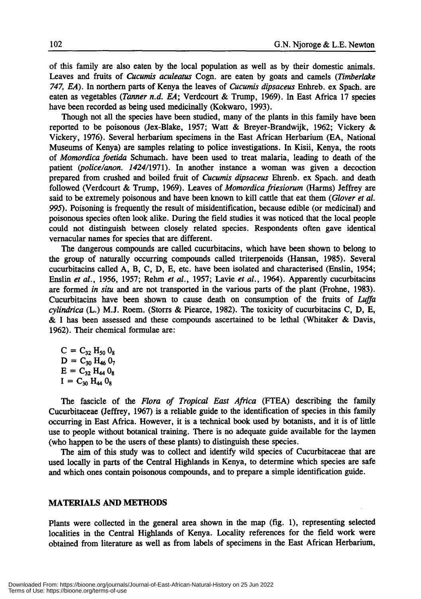of this family are also eaten by the local population as well as by their domestic animals. Leaves and fruits of *Cucumis aculeatus* Cogn. are eaten by goats and camels *(Timberlake 747, EA).* In northern parts of Kenya the leaves of *Cucumis dipsaceus* Enhreb. ex Spach. are eaten as vegetables *(Tanner n.d. EA;* Verdcourt & Trump, 1969). In East Africa 17 species have been recorded as being used medicinally (Kokwaro, 1993).

Though not all the species have been studied, many of the plants in this family have been reported to be poisonous (Jex-Blake, 1957; Watt & Breyer-Brandwijk, 1962; Vickery & Vickery, 1976). Several herbarium specimens in the East African Herbarium (EA, National Museums of Kenya) are samples relating to police investigations. In Kisii, Kenya, the roots of *Momordica foetida* Schumach. have been used to treat malaria, leading to death of the patient *(police/anon.* 1424/1971). In another instance a woman was given a decoction prepared from crushed and boiled fruit of *Cucumis dipsaceus* Ehrenb. ex Spach. and death followed (Verdcourt & Trump, 1969). Leaves of *Momordica friesiorum* (Harms) Jeffrey are said to be extremely poisonous and have been known to kill cattle that eat them *(Glover et al.* 995). Poisoning is frequently the result of misidentification, because edible (or medicinal) and poisonous species often look alike. During the field studies it was noticed that the local people could not distinguish between closely related species. Respondents often gave identical vernacular names for species that are different.

The dangerous compounds are called cucurbitacins, which have been shown to belong to the group of naturally occurring compounds called triterpenoids (Hansan, 1985). Several cucurbitacins called A, B, C, D, E, etc. have been isolated and characterised (Enslin, 1954; Enslin *et al.,* 1956, 1957; Rehm *et al.,* 1957; Lavie *et al.,* 1964). Apparently cucurbitacins are formed *in situ* and are not transported in the various parts of the plant (Frohne, 1983). Cucurbitacins have been shown to cause death on consumption of the fruits of *Luffa cylindrica* (L.) M.J. Roem. (Storrs & Piearce, 1982). The toxicity of cucurbitacins C, D, E, & I has been assessed and these compounds ascertained to be lethal (Whitaker & Davis, 1962). Their chemical formulae are:

 $C = C_{32} H_{50} O_8$  $D = C_{30} H_{46} 0_7$  $E = C_{32}$  H<sub>44</sub> O<sub>8</sub>  $I = C_{30} H_{44} O_8$ 

The fascicle of the *Flora of Tropical East Africa* (FTEA) describing the family Cucurbitaceae (Jeffrey, 1967) is a reliable guide to the identification of species in this family occurring in East Africa. However, it is a technical book used by botanists, and it is of little use to people without botanical training. There is no adequate guide available for the laymen (who happen to be the users of these plants) to distinguish these species.

The aim of this study was to collect and identify wild species of Cucurbitaceae that are used locally in parts of the Central Highlands in Kenya, to determine which species are safe and which ones contain poisonous compounds, and to prepare a simple identification guide.

#### MATERIALS **AND METHODS**

Plants were collected in the general area shown in the map (fig. 1), representing selected localities in the Central Highlands of Kenya. Locality references for the field work were obtained from literature as well as from labels of specimens in the East African Herbarium,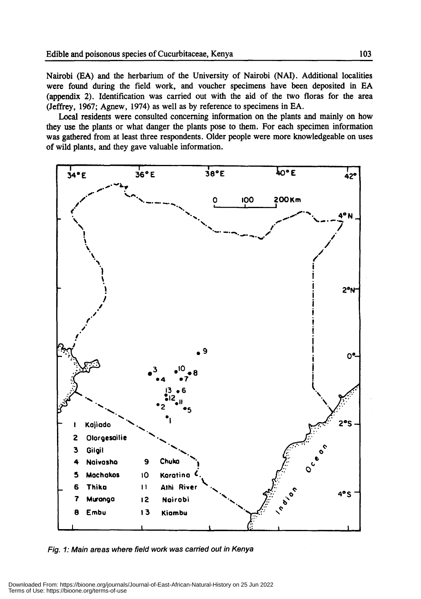Nairobi (EA) and the herbarium of the University of Nairobi (NAI). Additional localities were found during the field work, and voucher specimens have been deposited in EA (appendix 2). Identification was carried out with the aid of the two floras for the area (Jeffrey, 1967; Agnew, 1974) as well as by reference to specimens in EA,

Local residents were consulted concerning information on the plants and mainly on how they use the plants or what danger the plants pose to them. For each specimen information was gathered from at least three respondents. Older people were more knowledgeable on uses of wild plants, and they gave valuable information.



Fig. 1: Main areas where field work was carried out in Kenya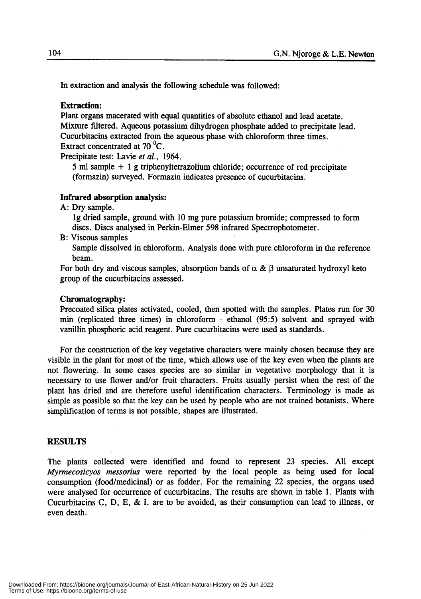In extraction and analysis the following schedule was followed:

## Extraction:

Plant organs macerated with equal quantities of absolute ethanol and lead acetate. Mixture filtered. Aqueous potassium dihydrogen phosphate added to precipitate lead. Cucurbitacins extracted from the aqueous phase with chloroform three times. Extract concentrated at 70 <sup>o</sup>C.

Precipitate test: Lavie *et at.,* 1964.

<sup>5</sup> ml sample + <sup>1</sup> <sup>g</sup> triphenyltetrazolium chloride; occurrence of red precipitate (formazin) surveyed. Formazin indicates presence of cucurbitacins.

## Infrared absorption analysis:

A: Dry sample.

Ig dried sample, ground with 10 mg pure potassium bromide; compressed to form discs. Discs analysed in Perkin-Elmer 598 infrared Spectrophotometer.

B: Viscous samples

Sample dissolved in chloroform. Analysis done with pure chloroform in the reference beam.

For both dry and viscous samples, absorption bands of  $\alpha \& \beta$  unsaturated hydroxyl keto group of the cucurbitacins assessed.

#### Chromatography:

Precoated silica plates activated, cooled, then spotted with the samples. Plates run for 30 min (replicated three times) in chloroform - ethanol (95:5) solvent and sprayed with vanillin phosphoric acid reagent. Pure cucurbitacins were used as standards.

For the construction of the key vegetative characters were mainly chosen because they are visible in the plant for most of the time, which allows use of the key even when the plants are not flowering. In some cases species are so similar in vegetative morphology that it is necessary to use flower and/or fruit characters. Fruits usually persist when the rest of the plant has dried and are therefore useful identification characters. Terminology is made as simple as possible so that the key can be used by people who are not trained botanists. Where simplification of terms is not possible, shapes are illustrated.

#### RESULTS

The plants collected were identified and found to represent 23 species. All except *Myrmecosicyos messorius* were reported by the local people as being used for local consumption (food/medicinal) or as fodder. For the remaining 22 species, the organs used were analysed for occurrence of cucurbitacins. The results are shown in table 1. Plants with Cucurbitacins C, D, E, & I. are to be avoided, as their consumption can lead to illness, or even death.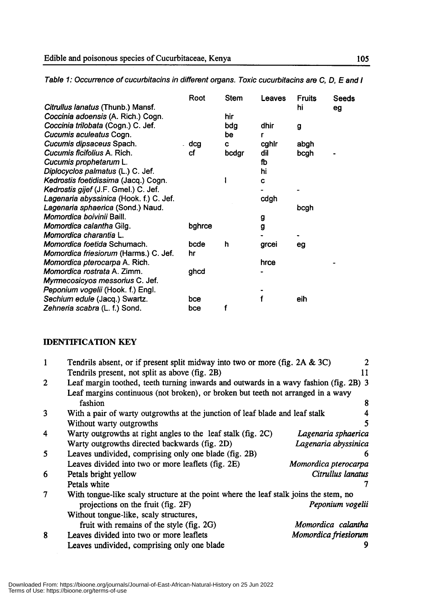Kedrostis gijef(J.F. Gmel.) C. Jet. Lagenaria abyssinica (Hook.t.) C. Jet.

Myrmecosicyos messorius C. Jet. Peponium Sechium edu/e vogefii(Jacq.) (Hook. Swartz. t.) Engl.

|                                              | Root   | <b>Stem</b> | Leaves | Fruits | <b>Seeds</b> |
|----------------------------------------------|--------|-------------|--------|--------|--------------|
| Citrullus lanatus (Thunb.) Mansf.            |        |             |        | hi     | eg           |
| Coccinia adoensis (A. Rich.) Cogn.           |        | hir         |        |        |              |
| Coccinia trilobata (Cogn.) C. Jef.           |        | bdg         | dhir   | g      |              |
| Cucumis aculeatus Cogn.                      |        | be          | r      |        |              |
| Cucumis dipsaceus Spach.                     | . dcg  | c           | cghir  | abgh   |              |
| Cucumis ficifolius A. Rich.                  | сf     | bcdgr       | dil    | bcgh   |              |
| Cucumis prophetarum L.                       |        |             | fb     |        |              |
| Diplocyclos palmatus (L.) C. Jef.            |        |             | hi     |        |              |
| Kedrostis foetidissima (Jacq.) Cogn.         |        |             | C      |        |              |
| Kedrostis gijef (J.F. Gmel.) C. Jef.         |        |             |        |        |              |
| Lagenaria abyssinica (Hook. f.) C. Jef.      |        |             | cdgh   |        |              |
| Lagenaria sphaerica (Sond.) Naud.            |        |             |        | bcgh   |              |
| Momordica boivinii Baill.                    |        |             | g      |        |              |
| Momordica calantha Gilg.                     | bghrce |             | g      |        |              |
| Momordica charantia L.                       |        |             |        |        |              |
| Momordica foetida Schumach.                  | bcde   | h           | grcei  | eg     |              |
| <i>Momordica friesiorum</i> (Harms.) C. Jef. | hr     |             |        |        |              |
| <i>Momordica pterocarpa</i> A. Rich.         |        |             | hrce   |        |              |
| Momordica rostrata A. Zimm.                  | ghcd   |             |        |        |              |
| Myrmecosicyos messorius C. Jef.              |        |             |        |        |              |
| Peponium vogelii (Hook. f.) Engl.            |        |             |        |        |              |
| Sechium edule (Jacq.) Swartz.                | bce    |             |        | eih    |              |
| Zehneria scabra (L. f.) Sond.                | bce    |             |        |        |              |

Table 1: Occurrence of cucurbitacins in different organs. Toxic cucurbitacins are C, D, E and I

## **IDENTIFICATION KEY**

|                                                                                       | 2                                                                                                                                                                                                                                                                                                          |  |  |  |
|---------------------------------------------------------------------------------------|------------------------------------------------------------------------------------------------------------------------------------------------------------------------------------------------------------------------------------------------------------------------------------------------------------|--|--|--|
|                                                                                       | 11                                                                                                                                                                                                                                                                                                         |  |  |  |
|                                                                                       |                                                                                                                                                                                                                                                                                                            |  |  |  |
|                                                                                       |                                                                                                                                                                                                                                                                                                            |  |  |  |
| fashion                                                                               | 8                                                                                                                                                                                                                                                                                                          |  |  |  |
| 3<br>With a pair of warty outgrowths at the junction of leaf blade and leaf stalk     |                                                                                                                                                                                                                                                                                                            |  |  |  |
| Without warty outgrowths                                                              | 5                                                                                                                                                                                                                                                                                                          |  |  |  |
| Warty outgrowths at right angles to the leaf stalk (fig. 2C)                          | Lagenaria sphaerica                                                                                                                                                                                                                                                                                        |  |  |  |
| Warty outgrowths directed backwards (fig. 2D)                                         | Lagenaria abyssinica                                                                                                                                                                                                                                                                                       |  |  |  |
| Leaves undivided, comprising only one blade (fig. 2B)                                 | 6                                                                                                                                                                                                                                                                                                          |  |  |  |
| Leaves divided into two or more leaflets (fig. 2E)                                    | Momordica pterocarpa                                                                                                                                                                                                                                                                                       |  |  |  |
| Petals bright yellow                                                                  | Citrullus lanatus                                                                                                                                                                                                                                                                                          |  |  |  |
| Petals white                                                                          |                                                                                                                                                                                                                                                                                                            |  |  |  |
| With tongue-like scaly structure at the point where the leaf stalk joins the stem, no |                                                                                                                                                                                                                                                                                                            |  |  |  |
| projections on the fruit (fig. 2F)                                                    | Peponium vogelii                                                                                                                                                                                                                                                                                           |  |  |  |
| Without tongue-like, scaly structures,                                                |                                                                                                                                                                                                                                                                                                            |  |  |  |
| fruit with remains of the style (fig. 2G)                                             | Momordica calantha                                                                                                                                                                                                                                                                                         |  |  |  |
| Leaves divided into two or more leaflets                                              | Momordica friesiorum                                                                                                                                                                                                                                                                                       |  |  |  |
| Leaves undivided, comprising only one blade                                           |                                                                                                                                                                                                                                                                                                            |  |  |  |
|                                                                                       | Tendrils absent, or if present split midway into two or more (fig. 2A & 3C)<br>Tendrils present, not split as above (fig. 2B)<br>Leaf margin toothed, teeth turning inwards and outwards in a wavy fashion (fig. 2B) 3<br>Leaf margins continuous (not broken), or broken but teeth not arranged in a wavy |  |  |  |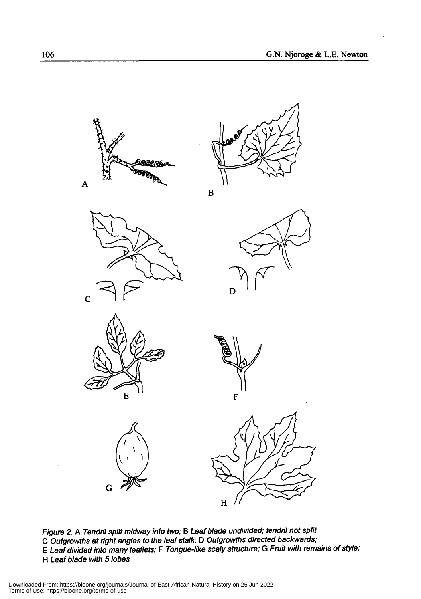



B











Figure 2. A Tendril split midway into two; B Leaf blade undivided; tendril not split C Outgrowths at right angles to the leaf stalk; D Outgrowths directed backwards; E Leaf divided into many leaflets; F Tongue-like scaly structure; G Fruit with remains of style; H Leaf blade with 5 lobes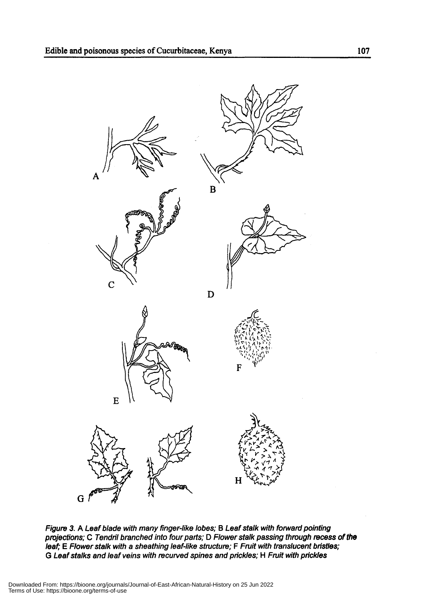

Figure 3. A Leaf blade with many finger-like lobes; B Leaf stalk with forward pointing projections; C Tendril branched into four parts; D Flower stalk passing through recess of the leaf; E Flower stalk with a sheathing leaf-like structure; F Fruit with translucent bristles; G Leaf stalks and leaf veins with recurved spines and prickles; H Fruit with prickles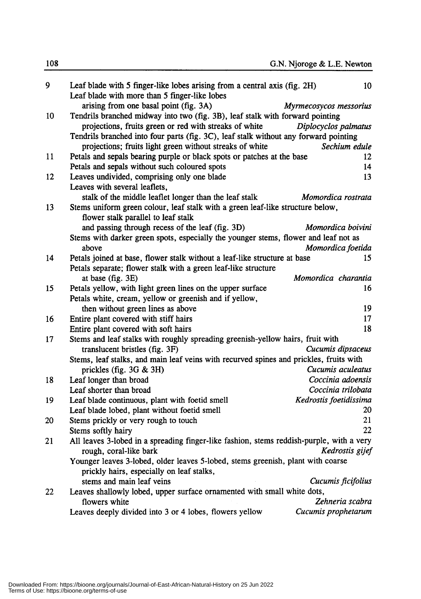| 9  | Leaf blade with 5 finger-like lobes arising from a central axis (fig. 2H)<br>Leaf blade with more than 5 finger-like lobes | 10                     |
|----|----------------------------------------------------------------------------------------------------------------------------|------------------------|
|    | arising from one basal point (fig. 3A)                                                                                     | Myrmecosycos messorius |
| 10 | Tendrils branched midway into two (fig. 3B), leaf stalk with forward pointing                                              |                        |
|    | projections, fruits green or red with streaks of white                                                                     | Diplocyclos palmatus   |
|    | Tendrils branched into four parts (fig. 3C), leaf stalk without any forward pointing                                       |                        |
|    | projections; fruits light green without streaks of white                                                                   | Sechium edule          |
| 11 | Petals and sepals bearing purple or black spots or patches at the base                                                     | 12                     |
|    | Petals and sepals without such coloured spots                                                                              | 14                     |
| 12 | Leaves undivided, comprising only one blade                                                                                | 13                     |
|    | Leaves with several leaflets,                                                                                              |                        |
|    | stalk of the middle leaflet longer than the leaf stalk                                                                     | Momordica rostrata     |
| 13 | Stems uniform green colour, leaf stalk with a green leaf-like structure below,                                             |                        |
|    | flower stalk parallel to leaf stalk                                                                                        |                        |
|    | and passing through recess of the leaf (fig. 3D)                                                                           | Momordica boivini      |
|    | Stems with darker green spots, especially the younger stems, flower and leaf not as                                        |                        |
|    | above                                                                                                                      | Momordica foetida      |
| 14 | Petals joined at base, flower stalk without a leaf-like structure at base                                                  | 15.                    |
|    | Petals separate; flower stalk with a green leaf-like structure                                                             |                        |
|    | at base (fig. 3E)                                                                                                          | Momordica charantia    |
| 15 | Petals yellow, with light green lines on the upper surface                                                                 | 16                     |
|    | Petals white, cream, yellow or greenish and if yellow,                                                                     |                        |
|    | then without green lines as above                                                                                          | 19                     |
| 16 | Entire plant covered with stiff hairs                                                                                      | 17                     |
|    | Entire plant covered with soft hairs                                                                                       | 18                     |
| 17 | Stems and leaf stalks with roughly spreading greenish-yellow hairs, fruit with                                             |                        |
|    | translucent bristles (fig. 3F)                                                                                             | Cucumis dipsaceus      |
|    | Stems, leaf stalks, and main leaf veins with recurved spines and prickles, fruits with                                     |                        |
|    | prickles (fig. $3G & 3H$ )                                                                                                 | Cucumis aculeatus      |
| 18 | Leaf longer than broad                                                                                                     | Coccinia adoensis      |
|    | Leaf shorter than broad                                                                                                    | Coccinia trilobata     |
| 19 | Leaf blade continuous, plant with foetid smell                                                                             | Kedrostis foetidissima |
|    | Leaf blade lobed, plant without foetid smell                                                                               | 20                     |
| 20 | Stems prickly or very rough to touch                                                                                       | 21                     |
|    | Stems softly hairy                                                                                                         | 22                     |
| 21 | All leaves 3-lobed in a spreading finger-like fashion, stems reddish-purple, with a very                                   |                        |
|    | rough, coral-like bark                                                                                                     | Kedrostis gijef        |
|    | Younger leaves 3-lobed, older leaves 5-lobed, stems greenish, plant with coarse                                            |                        |
|    | prickly hairs, especially on leaf stalks,                                                                                  |                        |
|    | stems and main leaf veins                                                                                                  | Cucumis ficifolius     |
| 22 | Leaves shallowly lobed, upper surface ornamented with small white dots,                                                    |                        |
|    | flowers white                                                                                                              | Zehneria scabra        |
|    | Leaves deeply divided into 3 or 4 lobes, flowers yellow                                                                    | Cucumis prophetarum    |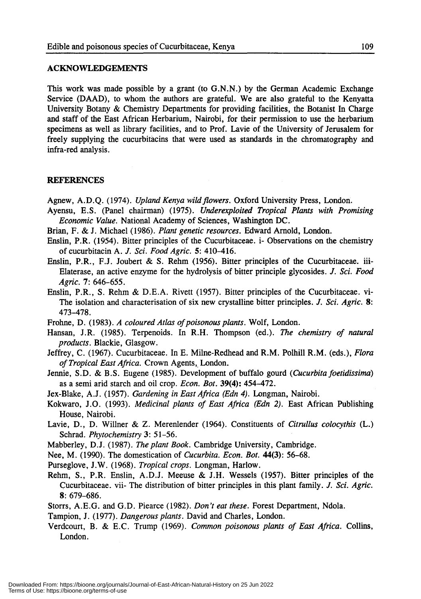#### ACKNOWLEDGEMENTS

This work was made possible by a grant (to G.N.N.) by the German Academic Exchange Service (DAAD), to whom the authors are grateful. We are also grateful to the Kenyatta University Botany & Chemistry Departments for providing facilities, the Botanist In Charge and staff of the East African Herbarium, Nairobi, for their permission to use the herbarium specimens as well as library facilities, and to Prof. Lavie of the University of Jerusalem for freely supplying the cucurbitacins that were used as standards in the chromatography and infra-red analysis.

#### REFERENCES

Agnew, A.D.Q. (1974). *Upland Kenya wildflowers.* Oxford University Press, London.

- Ayensu, E.S. (Panel chairman) (1975). *Underexploited Tropical Plants with Promising Economic Value.* National Academy of Sciences, Washington DC.
- Brian, F. & J. Michael (1986). *Plant genetic resources.* Edward Arnold, London.
- Enslin, P.R. (1954). Bitter principles of the Cucurbitaceae. i- Observations on the chemistry of cucurbitacin A. J. *Sci. Food Agric.* 5: 410-416.
- Enslin, P.R., F.J. Joubert & S. Rehm (1956). Bitter principles of the Cucurbitaceae. iii-Elaterase, an active enzyme for the hydrolysis of bitter principle glycosides. J. *Sci. Food Agric.* 7: 646-655.
- Enslin, P.R., S. Rehm & D.B.A. Rivett (1957). Bitter principles of the Cucurbitaceae. vi-The isolation and characterisation of six new crystalline bitter principles. J. *Sci. Agric. 8:* 473-478.
- Frohne, D. (1983). *A coloured Atlas of poisonous plants.* Wolf, London.
- Hansan, J.R. (1985). Terpenoids. In R.H. Thompson (ed.). *The chemistry of natural products.* Blackie, Glasgow.
- Jeffrey, C. (1967). Cucurbitaceae. In E. Milne-Redhead and R.M. Polhill R.M. (eds.), *Flora of Tropical East Africa.* Crown Agents" London.
- Jennie, S.D. & B.S. Eugene (1985). Development of buffalo gourd *(Cucurbitafoetidissima)* as a semi arid starch and oil crop. *Econ. Bot.* 39(4): 454-472.
- Jex-Blake, A.J. (1957). *Gardening in East Africa (Edn* 4). Longman, Nairobi.
- Kokwaro, J.O. (1993). *Medicinal plants of East Africa (Edn* 2). East African Publishing House, Nairobi.
- Lavie, D., D. Willner & Z. Merenlender (1964). Constituents of *Citrullus colocythis* (L.) Schrad. *Phytochemistry* 3: 51-56.
- Mabberley, D.J. (1987). *The plant Book.* Cambridge University, Cambridge.
- Nee, M. (1990). The domestication of *Cucurbita. Econ. Bot.* 44(3): 56-68.
- Purseglove, J.W. (1968). *Tropical crops.* Longman, Harlow.
- Rehm, S., P.R. Enslin, A.D.J. Meeuse & J.H. Wessels (1957). Bitter principles of the Cucurbitaceae. vii- The distribution of bitter principles in this plant family. J. *Sci. Agric.* 8: 679-686.
- Storrs, A.E.G. and G.D. Piearce (1982). *Don't eat these.* Forest Department, Ndola.
- Tampion, J. (1977). *Dangerous plants.* David and Charles, London.
- Verdcourt, B. & E.C. Trump (1969). *Common poisonous plants of East Africa.* Collins, London.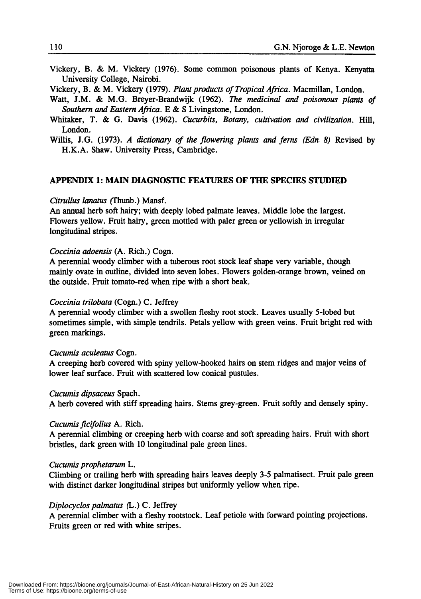Vickery, B. & M. Vickery (1976). Some common poisonous plants of Kenya. Kenyatta University College, Nairobi.

Vickery, B. & M. Vickery (1979). *Plant products of Tropical Africa.* Macmillan, London.

- Watt, J.M. & M.G. Breyer-Brandwijk (1962). *The medicinal and poisonous plants of Southern and Eastern Africa.* E & S Livingstone, London.
- Whitaker, T. & G. Davis (1962). *Cucurbits, Botany, cultivation and civilization.* Hill, London.
- Willis, J.G. (1973). *A dictionary of the flowering plants and ferns (Edn* 8) Revised by H.K.A. Shaw. University Press, Cambridge.

## APPENDIX 1: MAIN DIAGNOSTIC FEATURES OF THE SPECIES STUDIED

## *Citrullus lanatus* (fhunb.) Mansf.

An annual herb soft hairy; with deeply lobed palmate leaves. Middle lobe the largest. Flowers yellow. Fruit hairy, green mottled with paler green or yellowish in irregular longitudinal stripes.

#### *Coccinia adoensis* (A. Rich.) Cogn.

A perennial woody climber with a tuberous root stock leaf shape very variable, though mainly ovate in outline, divided into seven lobes. Flowers golden-orange brown, veined on the outside. Fruit tomato-red when ripe with a short beak.

#### *Coccinia trilobata* (Cogn.) C. Jeffrey

A perennial woody climber with a swollen fleshy root stock. Leaves usually 5-lobed but sometimes simple, with simple tendrils. Petals yellow with green veins. Fruit bright red with green markings.

#### *Cucumis aculeatus* Cogn.

A creeping herb covered with spiny yellow-hooked hairs on stem ridges and major veins of lower leaf surface. Fruit with scattered low conical pustules.

#### *Cucumis dipsaceus* Spach.

A herb covered with stiff spreading hairs. Stems grey-green. Fruit softly and densely spiny.

#### *Cucumisficifolius* A. Rich.

A perennial climbing or creeping herb with coarse and soft spreading hairs. Fruit with short bristles, dark green with 10 longitudinal pale green lines.

#### *Cucumis prophetarum* L.

Climbing or trailing herb with spreading hairs leaves deeply 3-5 palmatisect. Fruit pale green with distinct darker longitudinal stripes but uniformly yellow when ripe.

#### *Diplocyclos palmatus* (L.) C. Jeffrey

A perennial climber with a fleshy rootstock. Leaf petiole with forward pointing projections. Fruits green or red with white stripes.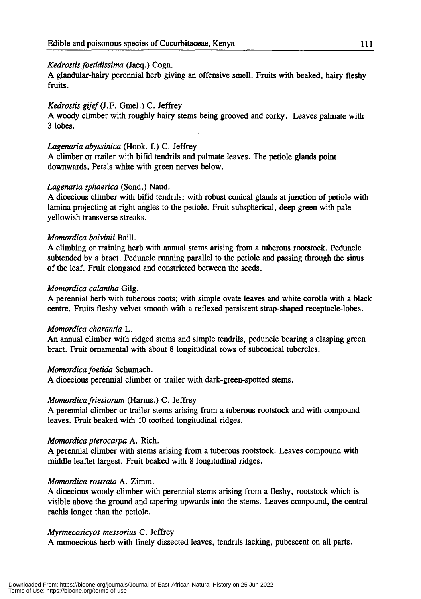## *Kedrostis foetidissima* (Jacq.) Cogn.

A glandular-hairy perennial herb giving an offensive smell. Fruits with beaked, hairy fleshy fruits.

## *Kedrostis gijef(J.F.* GmeI.) C. Jeffrey

A woody climber with roughly hairy stems being grooved and corky. Leaves palmate with 3 lobes.

## *Lagenaria abyssinica* (Hook. f.) C. Jeffrey

A climber or trailer with bifid tendrils and palmate leaves. The petiole glands point downwards. Petals white with green nerves below.

## *Lagenaria sphaerica* (Sond.) Naud.

A dioecious climber with bifid tendrils; with robust conical glands at junction of petiole with lamina projecting at right angles to the petiole. Fruit subspherical, deep green with pale yellowish transverse streaks.

## *Momordica boivinii* BailI.

A climbing or training herb with annual stems arising from a tuberous rootstock. Peduncle subtended by a bract. Peduncle running parallel to the petiole and passing through the sinus of the leaf. Fruit elongated and constricted between the seeds.

## *Momordica calantha* Gilg.

A perennial herb with tuberous roots; with simple ovate leaves and white corolla with a black centre. Fruits fleshy velvet smooth with a reflexed persistent strap-shaped receptacle-lobes.

## *Momordica charantia* L.

An annual climber with ridged stems and simple tendrils, peduncle bearing a clasping green bract. Fruit ornamental with about 8 longitudinal rows of subconical tubercles.

## *Momordica foetida* Schumach.

A dioecious perennial climber or trailer with dark-green-spotted stems.

## *Momordicafriesiorum* (Harms.) C. Jeffrey

A perennial climber or trailer stems arising from a tuberous rootstock and with compound leaves. Fruit beaked with 10 toothed longitudinal ridges.

## *Momordica pterocarpa* A. Rich.

A perennial climber with stems arising from a tuberous rootstock. Leaves compound with middle leaflet largest. Fruit beaked with 8 longitudinal ridges.

## *Momordica rostrata* A. Zimm.

A dioecious woody climber with perennial stems arising from a fleshy, rootstock which is visible above the ground and tapering upwards into the stems. Leaves compound, the central rachis longer than the petiole.

## *Myrmecosicyos messorius* C. Jeffrey

A monoecious herb with fmely dissected leaves, tendrils lacking, pubescent on all parts.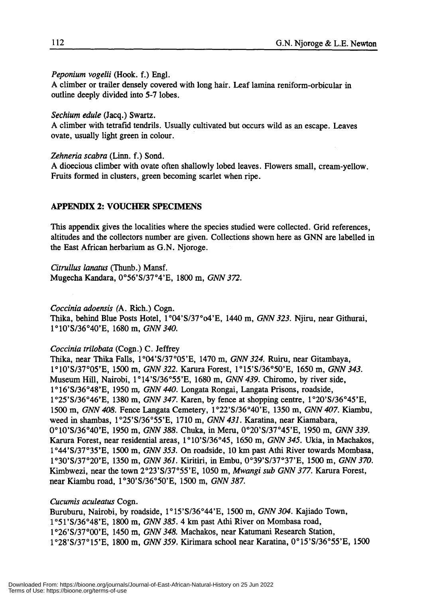Peponium vogelii (Hook. f.) Engl.

A climber or trailer densely covered with long hair. Leaf lamina reniform-orbicular in outline deeply divided into 5-7 lobes.

Sechium edule (Jacq.) Swartz.

A climber with tetrafid tendrils. Usually cultivated but occurs wild as an escape. Leaves ovate, usually light green in colour.

Zehneria scabra (Linn. f.) Sond.

A dioecious climber with ovate often shallowly lobed leaves. Flowers small, cream-yellow. Fruits formed in clusters, green becoming scarlet when ripe.

#### APPENDIX 2: VOUCHER SPECIMENS

This appendix gives the localities where the species studied were collected. Grid references, altitudes and the collectors number are given. Collections shown here as GNN are labelled in the East African herbarium as G.N. Njoroge.

Citrullus lanatus (Thunb.) Mansf. Mugecha Kandara, 0°56'S/37°4'E, 1800 m, GNN 372.

Coccinia adoensis (A. Rich.) Cogn. Thika, behind Blue Posts Hotel, 1°Q4'S/37°04'E, 1440 m, GNN 323. Njiru, near Githurai, 1°IO'S/36°40'E, 1680 m, GNN 340.

Coccinia trilobata (Cogn.) C. Jeffrey

Thika, near Thika Falls, 1°04'S/37°05'E, 1470 m, GNN 324. Ruiru, near Gitambaya, 1°IO'S/37°05'E, 1500 m, GNN 322. Karura Forest, 1°15'S/36°50'E, 1650 m, GNN 343. Museum Hill, Nairobi, 1°14'S/36°55'E, 1680 m, GNN 439. Chiromo, by river side, 1°16'S/36°48'E, 1950 m, GNN 440. Longata Rongai, Langata Prisons, roadside, 1°25'S/36°46'E, 1380 m, GNN 347. Karen, by fence at shopping centre, 1°20'S/36°45'E, 1500 m, GNN 408. Fence Langata Cemetery, 1°22'S/36°40'E, 1350 m, GNN 407. Kiambu, weed in shambas, 1°25'S/36°55'E, 1710 m, GNN 431. Karatina, near Kiamabara, 0°10'S/36°40'E, 1950 m, GNN 388. Chuka, in Meru, 0°20'S/37°45'E, 1950 m, GNN 339. Karura Forest, near residential areas, 1°IO'S/36°45, 1650 m, GNN 345. Ukia, in Machakos, 1°44'S/37°35'E, 1500 m, GNN 353. On roadside, 10 km past Athi River towards Mombasa, 1°30'S/37°20'E, 1350 m, GNN 361. Kiritiri, in Embu, 0039'S/37°37'E, 1500 m, GNN 370. Kimbwezi, near the town 2°23'S/37°55'E, 1050 m, Mwangi sub GNN 377. Karura Forest, near Kiambu road, 1°30'S/36°50'E, 1500 m, GNN 387.

Cucumis aculeatus Cogn.

Buruburu, Nairobi, by roadside, 1°15'S/36°44'E, 1500 m, GNN 304. Kajiado Town, 1°51'S/36°48'E, 1800 m, GNN 385.4 km past Athi River on Mombasa road, 1°26'S/37°oo'E, 1450 m, GNN 348. Machakos, near Katumani Research Station, 1°28'S/37°15'E, 1800 m, GNN 359. Kirimara school near Karatina, 0°15'S/36°55'E, 1500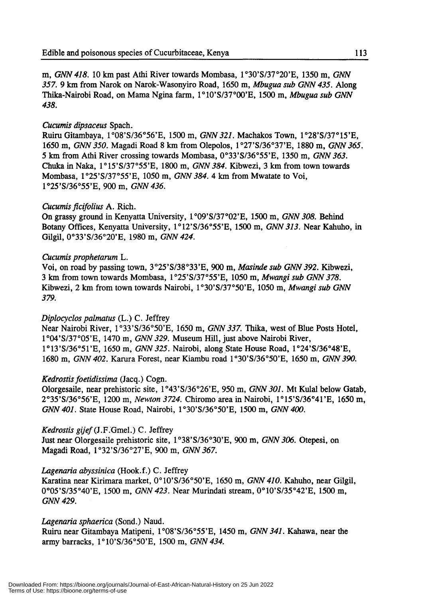m, GNN 418. 10 km past Athi River towards Mombasa, *1°30'S/37°20'E,* 1350 m, GNN 357.9 km from Narok on Narok-Wasonyiro Road, 1650 m, Mbugua sub GNN 435. Along Thika-Nairobi Road, on Mama Ngina farm, *1°IO'S/37°oo'E,* 1500 m, Mbugua sub GNN 438.

## Cucumis dipsaceus Spach.

Ruiru Gitambaya, *1°08'S/36°56'E,* 1500 m, *GNN* 321. Machakos Town, 1*°28'S/37°* 15'E, 1650 m, GNN 350. Magadi Road 8 km from Olepolos, *1°27'S/36°37'E,* 1880 m, GNN 365. 5 km from Athi River crossing towards Mombasa, *0033'S/36°55'E,* 1350 m, GNN 363. Chuka in Naka, *1°15'S/37°55'E,* 1800 m, GNN 384. Kibwezi, 3 km from town towards Mombasa, *1°25'S/37°55'E,* 1050 m, GNN 384. 4 km from Mwatate to Voi, *1°25'S/36°55'E,* 900 m, GNN 436.

## Cucumis ficifolius A. Rich.

On grassy ground in Kenyatta University, *1°09'S/37°02'E,* 1500 m, GNN 308. Behind Botany Offices, Kenyatta University, *1°12'S/36°55'E,* 1500 m, GNN 313. Near Kahuho, in Gilgil, *0033'S/36°20'E,* 1980 m, GNN 424~

## Cucumis prophetarum L.

Voi, on road by passing town, *3°25'S/38°33'E,* 900 m, Masinde sub GNN 392. Kibwezi, 3 km from town towards Mombasa, *1°25'S/37°55'E,* 1050 m, Mwangi sub GNN 378. Kibwezi, 2 km from town towards Nairobi, *1°30'S/37°50'E,* 1050 m, Mwangi sub GNN 379.

## Diplocyclos palmatus (L.) C. Jeffrey

Near Nairobi River, *1°33'S/36°50'E,* 1650 m, GNN 337. Thika, west of Blue Posts Hotel, *1°Q4'S/37°05'E,* 1470 m, GNN 329. Museum Hill, just above Nairobi River, 1*°13'S/36°51* 'E, 1650 m, GNN 325. Nairobi, along State House Road, *1°24'S/36°48'E,* 1680 m, GNN 402. Karura Forest, near Kiambu road *1°30'S/36°50'E,* 1650 m, GNN 390.

## Kedrostis foetidissima (Jacq.) Cogn.

Olorgesaile, near prehistoric site, *1°43'S/36°26'E,* 950 m, GNN 301. Mt Kulal below Gatab, *2°35'S/36°56'E,* 1200 m, Newton 3724. Chiromo area in Nairobi, *1°15'S/36°41'E,* 1650 m, GNN 401. State House Road, Nairobi, *1°30'S/36°50'E,* 1500 m, GNN 400.

## Kedrostis gijef (J.F.Gmel.) C. Jeffrey

Just near Olorgesaile prehistoric site, *1°38'S/36°30'E,* 900 m, GNN 306. Otepesi, on Magadi Road, *1°32'S/36°27'E,* 900 m, GNN 367.

## Lagenaria abyssinica (Hook.f.) C. Jeffrey

Karatina near Kirimara market, 0°10'S/36°50'E, 1650 m, GNN 410. Kahuho, near Gilgil, 0°05'S/35°40'E, 1500 m, GNN 423. Near Murindati stream, 0°10'S/35°42'E, 1500 m, GNN 429.

## Lagenaria sphaerica (Sond.) Naud.

Ruiru near Gitambaya Matipeni, *1°08'S/36°55'E,* 1450 m, GNN 341. Kahawa, near the army barracks, *1°IO'S/36°50'E,* 1500 m, GNN 434.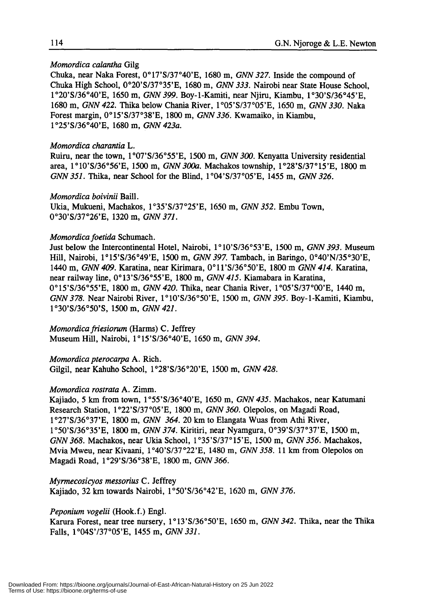#### *Momordica calantha* Gilg

Chuka, near Naka Forest, 0°17'S/37°40'E, 1680 m, GNN 327. Inside the compound of Chuka High School, *0020'S/37°35'E,* 1680 m, GNN 333. Nairobi near State House School, *1°20'S/36°40'E,* 1650 m, GNN 399. Boy-l-Kamiti, near Njiru, Kiambu, *1°30'S/36°45'E,* 1680 m, GNN 422. Thika below Chania River, *1°05'S/37°05'E,* 1650 m, GNN *330.* Naka Forest margin, *0015'S/37°38'E,* 1800 m, GNN 336. Kwamaiko, in Kiambu, *1°25'S/36°4Q'E,* 1680 m, GNN 423a.

#### *Momordica charantia* L.

Ruiru, near the town, *1°07'S/36°55'E,* 1500 m, GNN 300. Kenyatta University residential area, *1°1O'S/36°56'E,* 1500 m, GNN 300a. Machakos township, *1°28'S/37°15'E,* 1800 m GNN 351. Thika, near School for the Blind, *1°Q4'S/37°05'E,* 1455 m, GNN *326.*

#### *Momordica boivinii* Baili.

Ukia, Mukueni, Machakos, *1°35'S/37°25'E,* 1650 m, GNN 352. Embu Town, *0030'S/37°26'E,* 1320 m, GNN *371.*

#### *Momordica foetida* Schumach.

Just below the Intercontinental Hotel, Nairobi, *1°1O'S/36°53'E,* 1500 m, GNN 393. Museum Hill, Nairobi, *1°15'S/36°49'E,* 1500 m, GNN 397. Tambach, in Baringo, *0040'N/35°30'E,* 1440 m, GNN *409.* Karatina, near Kirimara, *001l'S/36°50'E,* 1800 m GNN 414. Karatina, near railway line, *0013'S/36°55'E,* 1800 m, GNN 415. Kiamabara in Karatina, *0015'S/36°55'E,* 1800 m, GNN *420.* Thika, near Chania River, *1°05'S/37°oo'E,* 1440 m, GNN 378. Near Nairobi River, *1°1O'S/36°50'E,* 1500 m, GNN 395. Boy-1-Kamiti, Kiambu, *1°30'S/36°50'S,* 1500 m, GNN *421.*

*Momordicafriesiorum* (Harms) C. Jeffrey Museum Hill, Nairobi, *1°15'S/36°40'E,* 1650 m, GNN *394.*

*Momordica pterocarpa* A. Rich. Gilgil, near Kahuho School, *1°28'S/36°20'E,* 1500 m, GNN *428.*

#### *Momordica rostrata* A. Zimm.

Kajiado, 5 km from town, *1°55'S/36°40'E,* 1650 m, GNN 435. Machakos, near Katumani Research Station, *1°22'S/37°05'E,* 1800 m, GNN *360.* Olepolos, on Magadi Road, *1°27'S/36°37'E,* 1800 m, GNN 364. 20 km to Elangata Wuas from Athi River, *1°50'S/36°35'E,* 1800 m, GNN 374. Kiritiri, near Nyamgura, *0039'S/37°37'E,* 1500 m, GNN 368. Machakos, near Ukia School, *1°35'S/37°15'E,* 1500 m, GNN 356. Machakos, Mvia Mweu, near Kivaani, *1°40'S/37°22'E,* 1480 m, GNN 358. 11 km from Olepolos on Magadi Road, *1°29'S/36°38'E,* 1800 m, GNN *366.*

*Myrmecosicyos messorius* C. Jeffrey Kajiado, 32 km towards Nairobi, *1°50'S/36°42'E,* 1620 m, GNN *376.*

#### *Peponium vogelii* (Hook.f.) Engi.

Karura Forest, near tree nursery, *1°13'S/36°50'E,* 1650 m, GNN 342. Thika, near the Thika Falls, 1°04S' *137°05'E,* 1455 m, GNN *331.*